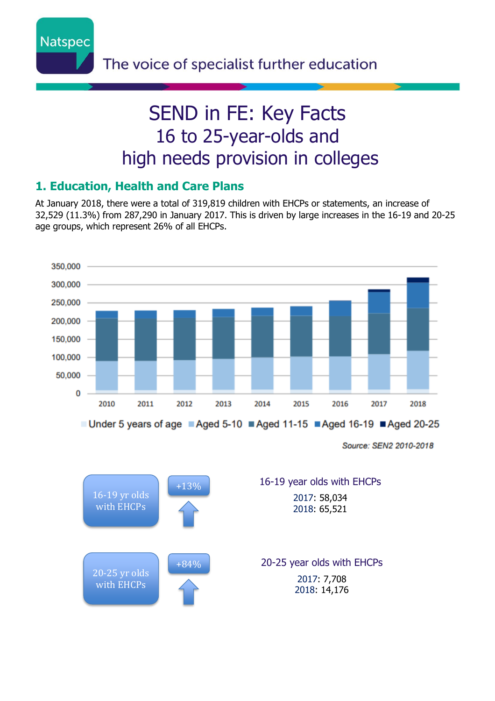

# SEND in FE: Key Facts 16 to 25-year-olds and high needs provision in colleges

### **1. Education, Health and Care Plans**

At January 2018, there were a total of 319,819 children with EHCPs or statements, an increase of 32,529 (11.3%) from 287,290 in January 2017. This is driven by large increases in the 16-19 and 20-25 age groups, which represent 26% of all EHCPs.



Source: SEN2 2010-2018

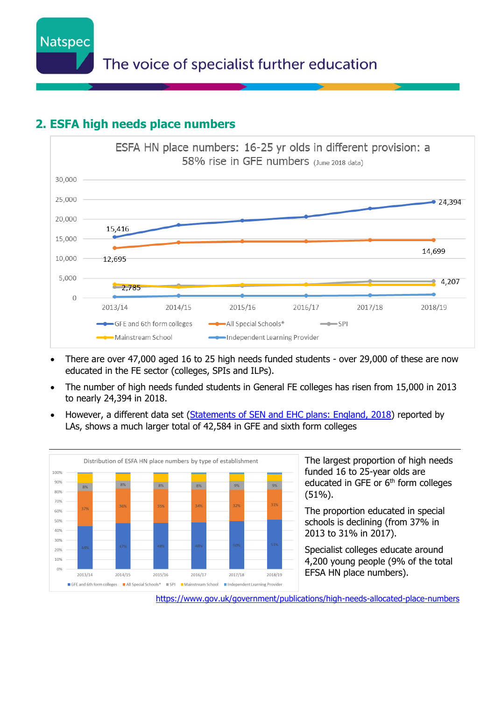**Natspec** 

## **2. ESFA high needs place numbers**



- There are over 47,000 aged 16 to 25 high needs funded students over 29,000 of these are now educated in the FE sector (colleges, SPIs and ILPs).
- The number of high needs funded students in General FE colleges has risen from 15,000 in 2013 to nearly 24,394 in 2018.
- However, a different data set [\(Statements of SEN and EHC plans: England, 2018\)](https://www.gov.uk/government/collections/statistics-special-educational-needs-sen) reported by LAs, shows a much larger total of 42,584 in GFE and sixth form colleges



The largest proportion of high needs funded 16 to 25-year olds are educated in GFE or 6<sup>th</sup> form colleges (51%).

The proportion educated in special schools is declining (from 37% in 2013 to 31% in 2017).

Specialist colleges educate around 4,200 young people (9% of the total EFSA HN place numbers).

<https://www.gov.uk/government/publications/high-needs-allocated-place-numbers>